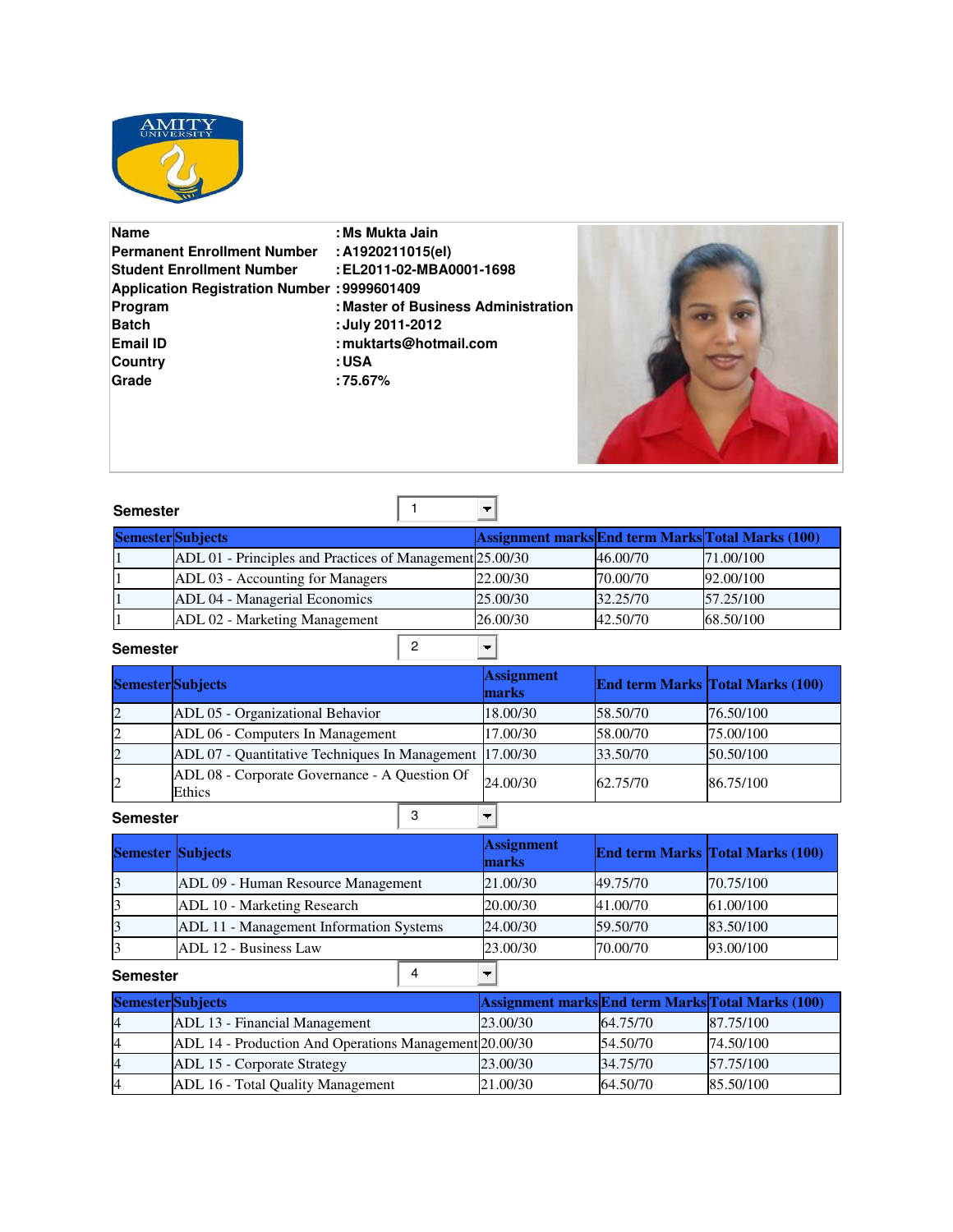

| <b>Name</b>                                        | : Ms Mukta Jain                     |
|----------------------------------------------------|-------------------------------------|
| <b>Permanent Enrollment Number</b>                 | : A1920211015(el)                   |
| <b>Student Enrollment Number</b>                   | : EL2011-02-MBA0001-1698            |
| <b>Application Registration Number: 9999601409</b> |                                     |
| Program                                            | : Master of Business Administration |
| <b>Batch</b>                                       | : July 2011-2012                    |
| <b>Email ID</b>                                    | : muktarts@hotmail.com              |
| Country                                            | : USA                               |
| Grade                                              | : 75.67%                            |
|                                                    |                                     |



| <b>Semester</b>          |                                                          | ▼                                                 |          |           |
|--------------------------|----------------------------------------------------------|---------------------------------------------------|----------|-----------|
| <b>Semester</b> Subjects |                                                          | Assignment marks End term Marks Total Marks (100) |          |           |
|                          | ADL 01 - Principles and Practices of Management 25.00/30 |                                                   | 46.00/70 | 71.00/100 |
|                          | ADL 03 - Accounting for Managers                         | 22.00/30                                          | 70.00/70 | 92.00/100 |
|                          | ADL 04 - Managerial Economics                            | 25.00/30                                          | 32.25/70 | 57.25/100 |
|                          | ADL 02 - Marketing Management                            | 26.00/30                                          | 42.50/70 | 68.50/100 |

**Semester**

| <b>Semester</b> Subjects |                                                         | <b>Assignment</b><br>marks |          | End term Marks Total Marks (100) |
|--------------------------|---------------------------------------------------------|----------------------------|----------|----------------------------------|
| $\overline{2}$           | ADL 05 - Organizational Behavior                        | 18.00/30                   | 58.50/70 | 76.50/100                        |
| $\mathbf{2}$             | ADL 06 - Computers In Management                        | 17.00/30                   | 58,00/70 | 75.00/100                        |
| $\overline{2}$           | ADL 07 - Quantitative Techniques In Management 17.00/30 |                            | 33.50/70 | 50.50/100                        |
| $\overline{2}$           | ADL 08 - Corporate Governance - A Question Of<br>Ethics | 24,00/30                   | 62.75/70 | 86.75/100                        |

**Semester**

 $\begin{array}{|c|c|c|}\n\hline\n3 & \boxed{1}\n\end{array}$ 

|          | <b>Semester Subjects</b>                |  | <b>Assignment</b><br>marks |          | <b>End term Marks Total Marks (100)</b> |
|----------|-----------------------------------------|--|----------------------------|----------|-----------------------------------------|
| 3        | ADL 09 - Human Resource Management      |  | 21.00/30                   | 49.75/70 | 70.75/100                               |
| 3        | ADL 10 - Marketing Research             |  | 20.00/30                   | 41.00/70 | 61.00/100                               |
| 3        | ADL 11 - Management Information Systems |  | 24.00/30                   | 59.50/70 | 83.50/100                               |
| 3        | ADL 12 - Business Law                   |  | 23.00/30                   | 70.00/70 | 93.00/100                               |
| Semester |                                         |  |                            |          |                                         |

| <b>Semester</b>   |                                                        |  |          |          |                                                          |
|-------------------|--------------------------------------------------------|--|----------|----------|----------------------------------------------------------|
| Semester Subjects |                                                        |  |          |          | <b>Assignment marks End term Marks Total Marks (100)</b> |
| $\overline{4}$    | ADL 13 - Financial Management                          |  | 23.00/30 | 64.75/70 | 87.75/100                                                |
|                   | ADL 14 - Production And Operations Management 20.00/30 |  |          | 54.50/70 | 74.50/100                                                |
|                   | ADL 15 - Corporate Strategy                            |  | 23.00/30 | 34.75/70 | 57.75/100                                                |
|                   | ADL 16 - Total Quality Management                      |  | 21.00/30 | 64.50/70 | 85.50/100                                                |